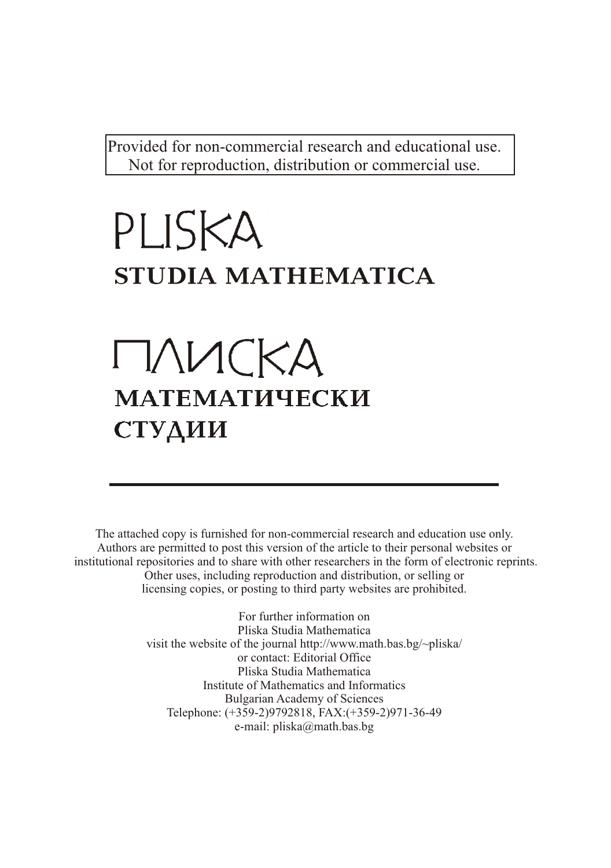Provided for non-commercial research and educational use. Not for reproduction, distribution or commercial use.

# PLISKA STUDIA MATHEMATICA

# $\Gamma\Lambda$ VICKA **МАТЕМАТИЧЕСКИ** СТУДИИ

The attached copy is furnished for non-commercial research and education use only. Authors are permitted to post this version of the article to their personal websites or institutional repositories and to share with other researchers in the form of electronic reprints. Other uses, including reproduction and distribution, or selling or licensing copies, or posting to third party websites are prohibited.

> For further information on Pliska Studia Mathematica visit the website of the journal http://www.math.bas.bg/~pliska/ or contact: Editorial Office Pliska Studia Mathematica Institute of Mathematics and Informatics Bulgarian Academy of Sciences Telephone: (+359-2)9792818, FAX:(+359-2)971-36-49 e-mail: pliska@math.bas.bg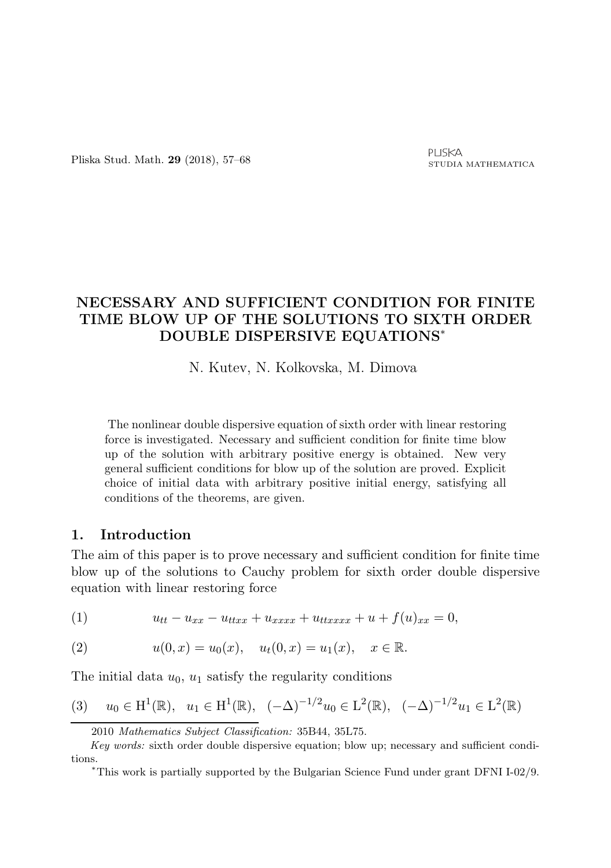# NECESSARY AND SUFFICIENT CONDITION FOR FINITE TIME BLOW UP OF THE SOLUTIONS TO SIXTH ORDER DOUBLE DISPERSIVE EQUATIONS<sup>∗</sup>

N. Kutev, N. Kolkovska, M. Dimova

The nonlinear double dispersive equation of sixth order with linear restoring force is investigated. Necessary and sufficient condition for finite time blow up of the solution with arbitrary positive energy is obtained. New very general sufficient conditions for blow up of the solution are proved. Explicit choice of initial data with arbitrary positive initial energy, satisfying all conditions of the theorems, are given.

### 1. Introduction

The aim of this paper is to prove necessary and sufficient condition for finite time blow up of the solutions to Cauchy problem for sixth order double dispersive equation with linear restoring force

(1) 
$$
u_{tt} - u_{xx} - u_{ttxx} + u_{xxxx} + u_{ttxxxx} + u + f(u)_{xx} = 0,
$$

(2) 
$$
u(0,x) = u_0(x), \quad u_t(0,x) = u_1(x), \quad x \in \mathbb{R}.
$$

The initial data  $u_0$ ,  $u_1$  satisfy the regularity conditions

$$
(3) \quad u_0 \in H^1(\mathbb{R}), \ \ u_1 \in H^1(\mathbb{R}), \ \ (-\Delta)^{-1/2} u_0 \in L^2(\mathbb{R}), \ \ (-\Delta)^{-1/2} u_1 \in L^2(\mathbb{R})
$$

<sup>2010</sup> Mathematics Subject Classification: 35B44, 35L75.

Key words: sixth order double dispersive equation; blow up; necessary and sufficient conditions.

<sup>∗</sup>This work is partially supported by the Bulgarian Science Fund under grant DFNI I-02/9.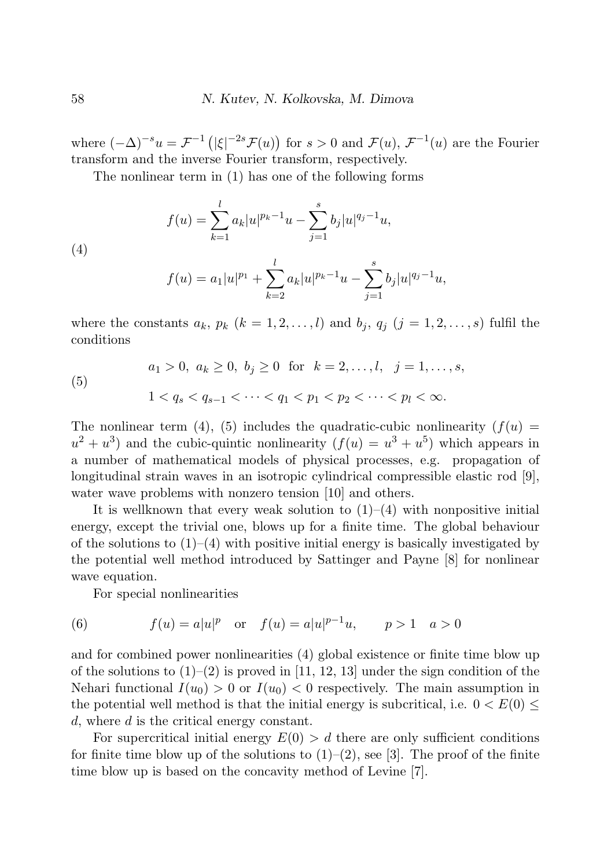where  $(-\Delta)^{-s}u = \mathcal{F}^{-1}(|\xi|^{-2s}\mathcal{F}(u))$  for  $s > 0$  and  $\mathcal{F}(u)$ ,  $\mathcal{F}^{-1}(u)$  are the Fourier transform and the inverse Fourier transform, respectively.

The nonlinear term in (1) has one of the following forms

(4)  

$$
f(u) = \sum_{k=1}^{l} a_k |u|^{p_k - 1} u - \sum_{j=1}^{s} b_j |u|^{q_j - 1} u,
$$

$$
f(u) = a_1 |u|^{p_1} + \sum_{k=2}^{l} a_k |u|^{p_k - 1} u - \sum_{j=1}^{s} b_j |u|^{q_j - 1} u,
$$

where the constants  $a_k$ ,  $p_k$   $(k = 1, 2, \ldots, l)$  and  $b_j$ ,  $q_j$   $(j = 1, 2, \ldots, s)$  fulfil the conditions

(5)  $a_1 > 0, a_k > 0, b_i > 0$  for  $k = 2, \ldots, l, j = 1, \ldots, s$ ,  $1 < q_s < q_{s-1} < \cdots < q_1 < p_1 < p_2 < \cdots < p_l < \infty$ .

The nonlinear term (4), (5) includes the quadratic-cubic nonlinearity  $(f(u))$  $u^2 + u^3$ ) and the cubic-quintic nonlinearity  $(f(u) = u^3 + u^5)$  which appears in a number of mathematical models of physical processes, e.g. propagation of longitudinal strain waves in an isotropic cylindrical compressible elastic rod [9], water wave problems with nonzero tension [10] and others.

It is wellknown that every weak solution to  $(1)-(4)$  with nonpositive initial energy, except the trivial one, blows up for a finite time. The global behaviour of the solutions to  $(1)$ – $(4)$  with positive initial energy is basically investigated by the potential well method introduced by Sattinger and Payne [8] for nonlinear wave equation.

For special nonlinearities

(6) 
$$
f(u) = a|u|^p
$$
 or  $f(u) = a|u|^{p-1}u$ ,  $p > 1$   $a > 0$ 

and for combined power nonlinearities (4) global existence or finite time blow up of the solutions to  $(1)-(2)$  is proved in [11, 12, 13] under the sign condition of the Nehari functional  $I(u_0) > 0$  or  $I(u_0) < 0$  respectively. The main assumption in the potential well method is that the initial energy is subcritical, i.e.  $0 < E(0) \leq$ d, where d is the critical energy constant.

For supercritical initial energy  $E(0) > d$  there are only sufficient conditions for finite time blow up of the solutions to  $(1)-(2)$ , see [3]. The proof of the finite time blow up is based on the concavity method of Levine [7].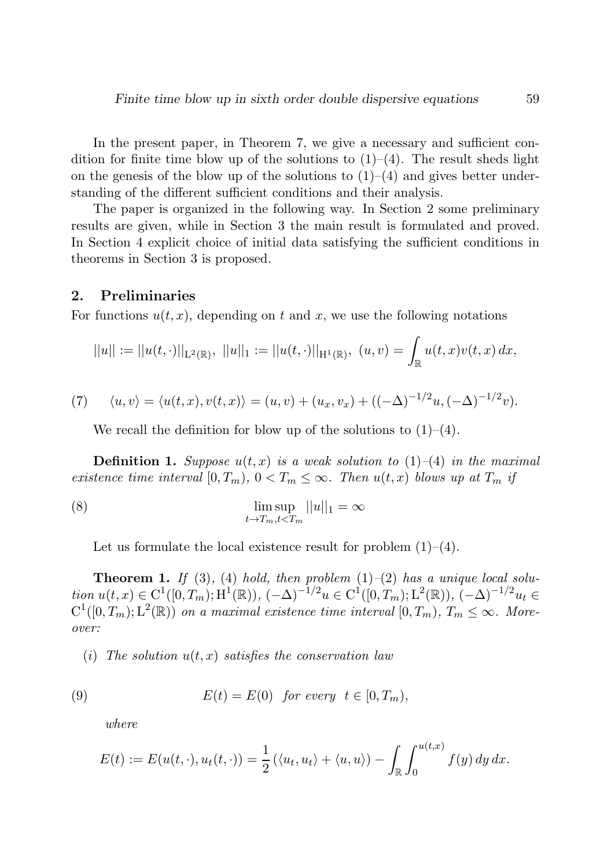In the present paper, in Theorem 7, we give a necessary and sufficient condition for finite time blow up of the solutions to  $(1)$ – $(4)$ . The result sheds light on the genesis of the blow up of the solutions to  $(1)-(4)$  and gives better understanding of the different sufficient conditions and their analysis.

The paper is organized in the following way. In Section 2 some preliminary results are given, while in Section 3 the main result is formulated and proved. In Section 4 explicit choice of initial data satisfying the sufficient conditions in theorems in Section 3 is proposed.

#### 2. Preliminaries

For functions  $u(t, x)$ , depending on t and x, we use the following notations

$$
||u|| := ||u(t, \cdot)||_{L^2(\mathbb{R})}, \ ||u||_1 := ||u(t, \cdot)||_{H^1(\mathbb{R})}, \ (u, v) = \int_{\mathbb{R}} u(t, x)v(t, x) dx,
$$

(7) 
$$
\langle u, v \rangle = \langle u(t, x), v(t, x) \rangle = (u, v) + (u_x, v_x) + ((-\Delta)^{-1/2}u, (-\Delta)^{-1/2}v).
$$

We recall the definition for blow up of the solutions to  $(1)$ – $(4)$ .

**Definition 1.** Suppose  $u(t, x)$  is a weak solution to  $(1)$ – $(4)$  in the maximal *existence time interval*  $[0, T_m)$ ,  $0 < T_m \leq \infty$ . Then  $u(t, x)$  blows up at  $T_m$  if

(8) 
$$
\limsup_{t \to T_m, t < T_m} ||u||_1 = \infty
$$

Let us formulate the local existence result for problem  $(1)$ – $(4)$ .

**Theorem 1.** If (3), (4) hold, then problem  $(1)$ – $(2)$  has a unique local solu*tion*  $u(t, x) \in C^1([0, T_m); H^1(\mathbb{R}))$ ,  $(-\Delta)^{-1/2}u \in C^1([0, T_m); L^2(\mathbb{R}))$ ,  $(-\Delta)^{-1/2}u_t \in$  $C^1([0,T_m);L^2(\mathbb{R}))$  *on a maximal existence time interval*  $[0,T_m)$ *,*  $T_m \leq \infty$ *. Moreover:*

(*i*) The solution  $u(t, x)$  satisfies the conservation law

(9) 
$$
E(t) = E(0) \quad \text{for every} \quad t \in [0, T_m),
$$

*where*

$$
E(t) := E(u(t,\cdot), u_t(t,\cdot)) = \frac{1}{2} (\langle u_t, u_t \rangle + \langle u, u \rangle) - \int_{\mathbb{R}} \int_0^{u(t,x)} f(y) dy dx.
$$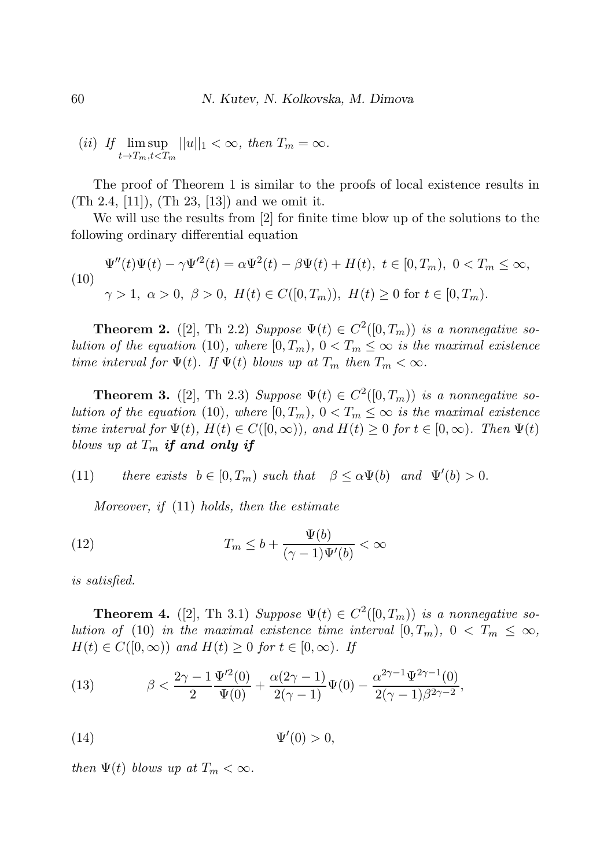$$
(ii) \ \text{If } \limsup_{t \to T_m, t < T_m} ||u||_1 < \infty, \text{ then } T_m = \infty.
$$

The proof of Theorem 1 is similar to the proofs of local existence results in (Th 2.4, [11]), (Th 23, [13]) and we omit it.

We will use the results from [2] for finite time blow up of the solutions to the following ordinary differential equation

$$
\Psi''(t)\Psi(t) - \gamma \Psi'^2(t) = \alpha \Psi^2(t) - \beta \Psi(t) + H(t), \ t \in [0, T_m), \ 0 < T_m \le \infty,
$$
\n
$$
\gamma > 1, \ \alpha > 0, \ \beta > 0, \ H(t) \in C([0, T_m)), \ H(t) \ge 0 \ \text{for} \ t \in [0, T_m).
$$

**Theorem 2.** ([2], Th 2.2) *Suppose*  $\Psi(t) \in C^2([0, T_m))$  *is a nonnegative solution of the equation* (10)*, where*  $[0, T_m)$ *,*  $0 < T_m \leq \infty$  *is the maximal existence time interval for*  $\Psi(t)$ *. If*  $\Psi(t)$  *blows up at*  $T_m$  *then*  $T_m < \infty$ *.* 

**Theorem 3.** ([2], Th 2.3) *Suppose*  $\Psi(t) \in C^2([0,T_m))$  *is a nonnegative solution of the equation* (10)*, where*  $[0, T_m)$ *,*  $0 < T_m \leq \infty$  *is the maximal existence time interval for*  $\Psi(t)$ *,*  $H(t) \in C([0,\infty))$ *, and*  $H(t) \geq 0$  *for*  $t \in [0,\infty)$ *. Then*  $\Psi(t)$ *blows up at*  $T_m$  if and only if

(11) *there exists*  $b \in [0, T_m)$  *such that*  $\beta \le \alpha \Psi(b)$  *and*  $\Psi'(b) > 0$ .

*Moreover, if* (11) *holds, then the estimate*

(12) 
$$
T_m \leq b + \frac{\Psi(b)}{(\gamma - 1)\Psi'(b)} < \infty
$$

*is satisfied.*

**Theorem 4.** ([2], Th 3.1) *Suppose*  $\Psi(t) \in C^2([0,T_m))$  *is a nonnegative solution of* (10) *in the maximal existence time interval*  $[0, T_m)$ ,  $0 < T_m \leq \infty$ ,  $H(t) \in C([0,\infty))$  and  $H(t) \geq 0$  for  $t \in [0,\infty)$ . If

(13) 
$$
\beta < \frac{2\gamma - 1}{2} \frac{\Psi'^2(0)}{\Psi(0)} + \frac{\alpha(2\gamma - 1)}{2(\gamma - 1)} \Psi(0) - \frac{\alpha^{2\gamma - 1} \Psi^{2\gamma - 1}(0)}{2(\gamma - 1)\beta^{2\gamma - 2}},
$$

$$
\Psi'(0) > 0,
$$

*then*  $\Psi(t)$  *blows up at*  $T_m < \infty$ *.*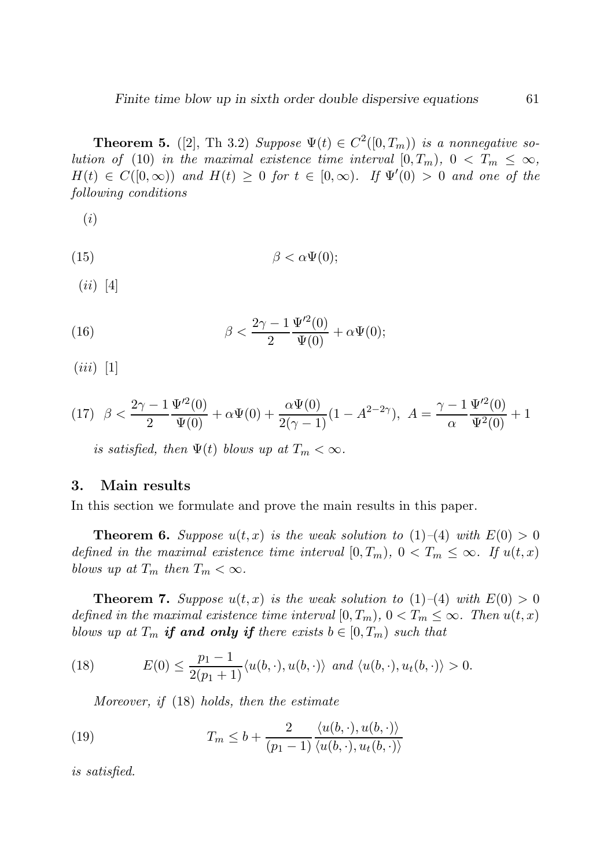**Theorem 5.** ([2], Th 3.2) *Suppose*  $\Psi(t) \in C^2([0, T_m))$  *is a nonnegative solution of* (10) *in the maximal existence time interval*  $[0, T_m)$ ,  $0 < T_m \leq \infty$ ,  $H(t) \in C([0,\infty))$  and  $H(t) \geq 0$  for  $t \in [0,\infty)$ . If  $\Psi'(0) > 0$  and one of the *following conditions*

(i)

(15)  $\beta < \alpha \Psi(0);$ 

 $(ii)$  [4]

(16) 
$$
\beta < \frac{2\gamma - 1}{2} \frac{\Psi'^2(0)}{\Psi(0)} + \alpha \Psi(0);
$$

 $(iii)$  [1]

(17) 
$$
\beta < \frac{2\gamma - 1}{2} \frac{\Psi'^2(0)}{\Psi(0)} + \alpha \Psi(0) + \frac{\alpha \Psi(0)}{2(\gamma - 1)} (1 - A^{2-2\gamma}), A = \frac{\gamma - 1}{\alpha} \frac{\Psi'^2(0)}{\Psi^2(0)} + 1
$$

*is satisfied, then*  $\Psi(t)$  *blows up at*  $T_m < \infty$ *.* 

#### 3. Main results

In this section we formulate and prove the main results in this paper.

**Theorem 6.** Suppose  $u(t, x)$  is the weak solution to (1)–(4) with  $E(0) > 0$ *defined in the maximal existence time interval*  $[0, T_m)$ ,  $0 < T_m \leq \infty$ . If  $u(t, x)$ *blows up at*  $T_m$  *then*  $T_m < \infty$ *.* 

**Theorem 7.** Suppose  $u(t, x)$  is the weak solution to  $(1)$ – $(4)$  with  $E(0) > 0$ *defined in the maximal existence time interval*  $[0, T_m)$ ,  $0 < T_m \leq \infty$ *. Then*  $u(t, x)$ *blows up at*  $T_m$  *if and only if there exists*  $b \in [0, T_m)$  *such that* 

(18) 
$$
E(0) \leq \frac{p_1 - 1}{2(p_1 + 1)} \langle u(b, \cdot), u(b, \cdot) \rangle \text{ and } \langle u(b, \cdot), u_t(b, \cdot) \rangle > 0.
$$

*Moreover, if* (18) *holds, then the estimate*

(19) 
$$
T_m \leq b + \frac{2}{(p_1 - 1)} \frac{\langle u(b, \cdot), u(b, \cdot) \rangle}{\langle u(b, \cdot), u_t(b, \cdot) \rangle}
$$

*is satisfied.*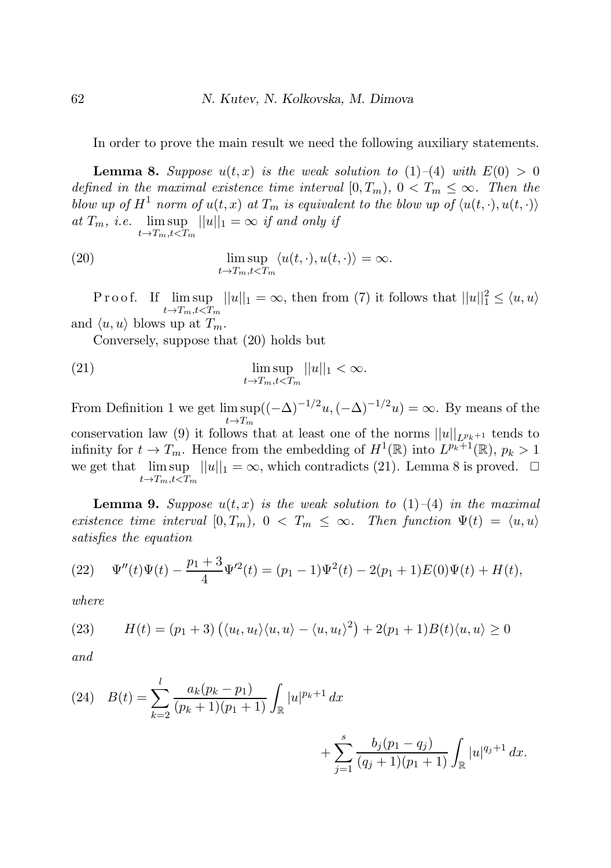In order to prove the main result we need the following auxiliary statements.

**Lemma 8.** Suppose  $u(t, x)$  is the weak solution to (1)–(4) with  $E(0) > 0$ *defined in the maximal existence time interval*  $[0, T_m)$ ,  $0 < T_m \leq \infty$ . Then the *blow up of*  $H^1$  *norm of*  $u(t, x)$  *at*  $T_m$  *is equivalent to the blow up of*  $\langle u(t, \cdot), u(t, \cdot) \rangle$ at  $T_m$ , *i.e.* lim sup  $||u||_1 = \infty$  *if and only if*  $t\rightarrow T_m,t\leq T_m$ 

(20) 
$$
\limsup_{t \to T_m, t < T_m} \langle u(t, \cdot), u(t, \cdot) \rangle = \infty.
$$

P r o o f. If  $\limsup_{n \to \infty} ||u||_1 = \infty$ , then from (7) it follows that  $||u||_1^2 \le \langle u, u \rangle$  $t\rightarrow T_m, t\leftarrow T_m$ and  $\langle u, u \rangle$  blows up at  $T_m$ .

Conversely, suppose that (20) holds but

(21) 
$$
\limsup_{t \to T_m, t < T_m} ||u||_1 < \infty.
$$

From Definition 1 we get  $\limsup((- \Delta)^{-1/2}u, (-\Delta)^{-1/2}u) = \infty$ . By means of the  $t\rightarrow T_m$ conservation law (9) it follows that at least one of the norms  $||u||_{L^{p_k+1}}$  tends to infinity for  $t \to T_m$ . Hence from the embedding of  $H^1(\mathbb{R})$  into  $L^{p_k+1}(\mathbb{R})$ ,  $p_k > 1$ we get that  $\limsup ||u||_1 = \infty$ , which contradicts (21). Lemma 8 is proved.  $\Box$  $t\rightarrow T_m, t\leftarrow T_m$ 

**Lemma 9.** Suppose  $u(t, x)$  is the weak solution to  $(1)$ – $(4)$  in the maximal *existence time interval*  $[0, T_m)$ ,  $0 < T_m \leq \infty$ . Then function  $\Psi(t) = \langle u, u \rangle$ *satisfies the equation*

(22) 
$$
\Psi''(t)\Psi(t) - \frac{p_1+3}{4}\Psi'^2(t) = (p_1-1)\Psi^2(t) - 2(p_1+1)E(0)\Psi(t) + H(t),
$$

*where*

(23) 
$$
H(t) = (p_1 + 3) \left( \langle u_t, u_t \rangle \langle u, u \rangle - \langle u, u_t \rangle^2 \right) + 2(p_1 + 1) B(t) \langle u, u \rangle \ge 0
$$

*and*

(24) 
$$
B(t) = \sum_{k=2}^{l} \frac{a_k(p_k - p_1)}{(p_k + 1)(p_1 + 1)} \int_{\mathbb{R}} |u|^{p_k + 1} dx + \sum_{j=1}^{s} \frac{b_j(p_1 - q_j)}{(q_j + 1)(p_1 + 1)} \int_{\mathbb{R}} |u|^{q_j + 1} dx.
$$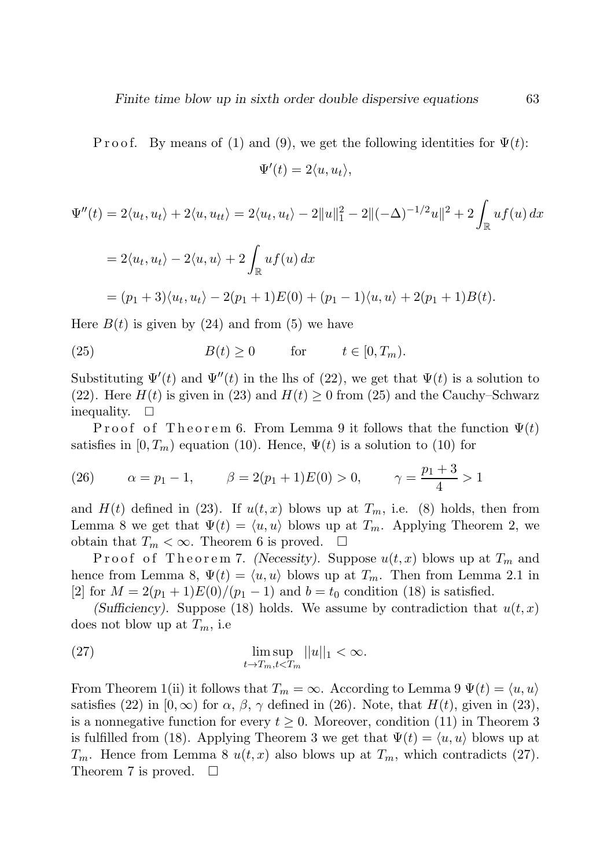P r o of. By means of (1) and (9), we get the following identities for  $\Psi(t)$ :

$$
\Psi'(t) = 2\langle u, u_t \rangle,
$$

$$
\Psi''(t) = 2\langle u_t, u_t \rangle + 2\langle u, u_{tt} \rangle = 2\langle u_t, u_t \rangle - 2||u||_1^2 - 2||(-\Delta)^{-1/2}u||^2 + 2\int_{\mathbb{R}} uf(u) dx
$$

$$
= 2\langle u_t, u_t \rangle - 2\langle u, u \rangle + 2\int_{\mathbb{R}} uf(u) dx
$$

$$
= (p_1 + 3)\langle u_t, u_t \rangle - 2(p_1 + 1)E(0) + (p_1 - 1)\langle u, u \rangle + 2(p_1 + 1)B(t).
$$

Here  $B(t)$  is given by (24) and from (5) we have

(25) 
$$
B(t) \ge 0 \quad \text{for} \quad t \in [0, T_m).
$$

Substituting  $\Psi'(t)$  and  $\Psi''(t)$  in the lhs of (22), we get that  $\Psi(t)$  is a solution to (22). Here  $H(t)$  is given in (23) and  $H(t) \ge 0$  from (25) and the Cauchy–Schwarz inequality.  $\square$ 

Proof of Theorem 6. From Lemma 9 it follows that the function  $\Psi(t)$ satisfies in  $[0, T_m)$  equation (10). Hence,  $\Psi(t)$  is a solution to (10) for

(26) 
$$
\alpha = p_1 - 1
$$
,  $\beta = 2(p_1 + 1)E(0) > 0$ ,  $\gamma = \frac{p_1 + 3}{4} > 1$ 

and  $H(t)$  defined in (23). If  $u(t, x)$  blows up at  $T_m$ , i.e. (8) holds, then from Lemma 8 we get that  $\Psi(t) = \langle u, u \rangle$  blows up at  $T_m$ . Applying Theorem 2, we obtain that  $T_m < \infty$ . Theorem 6 is proved.  $\square$ 

Proof of Theorem 7. (Necessity). Suppose  $u(t, x)$  blows up at  $T_m$  and hence from Lemma 8,  $\Psi(t) = \langle u, u \rangle$  blows up at  $T_m$ . Then from Lemma 2.1 in [2] for  $M = 2(p_1 + 1)E(0)/(p_1 - 1)$  and  $b = t_0$  condition (18) is satisfied.

(Sufficiency). Suppose (18) holds. We assume by contradiction that  $u(t, x)$ does not blow up at  $T_m$ , i.e

(27) 
$$
\limsup_{t \to T_m, t < T_m} ||u||_1 < \infty.
$$

From Theorem 1(ii) it follows that  $T_m = \infty$ . According to Lemma 9  $\Psi(t) = \langle u, u \rangle$ satisfies (22) in  $[0, \infty)$  for  $\alpha$ ,  $\beta$ ,  $\gamma$  defined in (26). Note, that  $H(t)$ , given in (23), is a nonnegative function for every  $t \geq 0$ . Moreover, condition (11) in Theorem 3 is fulfilled from (18). Applying Theorem 3 we get that  $\Psi(t) = \langle u, u \rangle$  blows up at  $T_m$ . Hence from Lemma 8  $u(t, x)$  also blows up at  $T_m$ , which contradicts (27). Theorem 7 is proved.  $\square$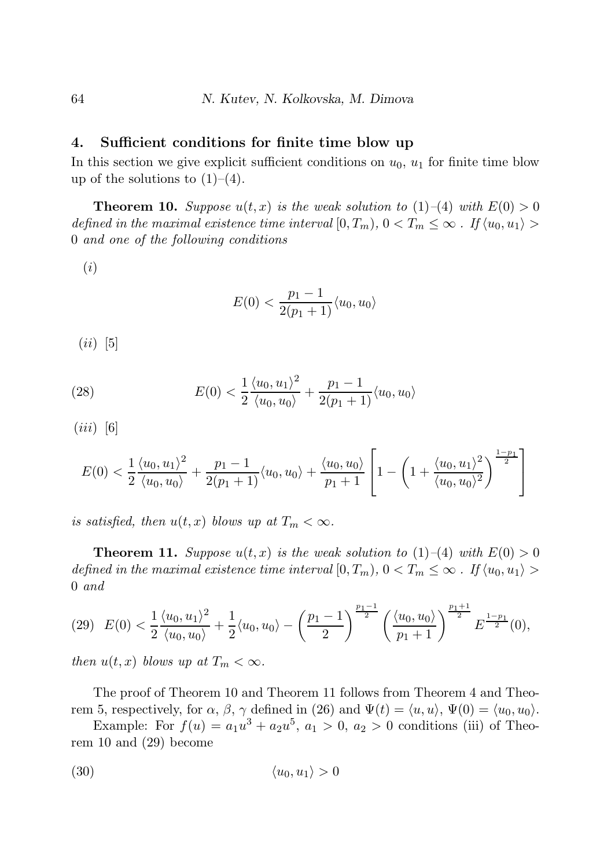#### 4. Sufficient conditions for finite time blow up

In this section we give explicit sufficient conditions on  $u_0$ ,  $u_1$  for finite time blow up of the solutions to  $(1)–(4)$ .

**Theorem 10.** *Suppose*  $u(t, x)$  *is the weak solution to* (1)–(4) *with*  $E(0) > 0$ *defined in the maximal existence time interval*  $[0, T_m)$ ,  $0 < T_m \leq \infty$ . If  $\langle u_0, u_1 \rangle >$ 0 *and one of the following conditions*

(i)

$$
E(0) < \frac{p_1 - 1}{2(p_1 + 1)} \langle u_0, u_0 \rangle
$$

 $(ii)$  [5]

(28) 
$$
E(0) < \frac{1}{2} \frac{\langle u_0, u_1 \rangle^2}{\langle u_0, u_0 \rangle} + \frac{p_1 - 1}{2(p_1 + 1)} \langle u_0, u_0 \rangle
$$

 $(iii)$  [6]

$$
E(0) < \frac{1}{2} \frac{\langle u_0, u_1 \rangle^2}{\langle u_0, u_0 \rangle} + \frac{p_1 - 1}{2(p_1 + 1)} \langle u_0, u_0 \rangle + \frac{\langle u_0, u_0 \rangle}{p_1 + 1} \left[ 1 - \left( 1 + \frac{\langle u_0, u_1 \rangle^2}{\langle u_0, u_0 \rangle^2} \right)^{\frac{1 - p_1}{2}} \right]
$$

*is satisfied, then*  $u(t, x)$  *blows up at*  $T_m < \infty$ *.* 

**Theorem 11.** *Suppose*  $u(t, x)$  *is the weak solution to* (1)–(4) *with*  $E(0) > 0$ *defined in the maximal existence time interval*  $[0, T_m)$ ,  $0 < T_m \leq \infty$ . If  $\langle u_0, u_1 \rangle >$ 0 *and*

$$
(29)\ \ E(0)<\frac{1}{2}\frac{\langle u_0,u_1\rangle^2}{\langle u_0,u_0\rangle}+\frac{1}{2}\langle u_0,u_0\rangle-\left(\frac{p_1-1}{2}\right)^{\frac{p_1-1}{2}}\left(\frac{\langle u_0,u_0\rangle}{p_1+1}\right)^{\frac{p_1+1}{2}}E^{\frac{1-p_1}{2}}(0),
$$

*then*  $u(t, x)$  *blows up at*  $T_m < \infty$ *.* 

The proof of Theorem 10 and Theorem 11 follows from Theorem 4 and Theorem 5, respectively, for  $\alpha$ ,  $\beta$ ,  $\gamma$  defined in (26) and  $\Psi(t) = \langle u, u \rangle$ ,  $\Psi(0) = \langle u_0, u_0 \rangle$ .

Example: For  $f(u) = a_1u^3 + a_2u^5$ ,  $a_1 > 0$ ,  $a_2 > 0$  conditions (iii) of Theorem 10 and (29) become

$$
(30) \t\t \langle u_0, u_1 \rangle > 0
$$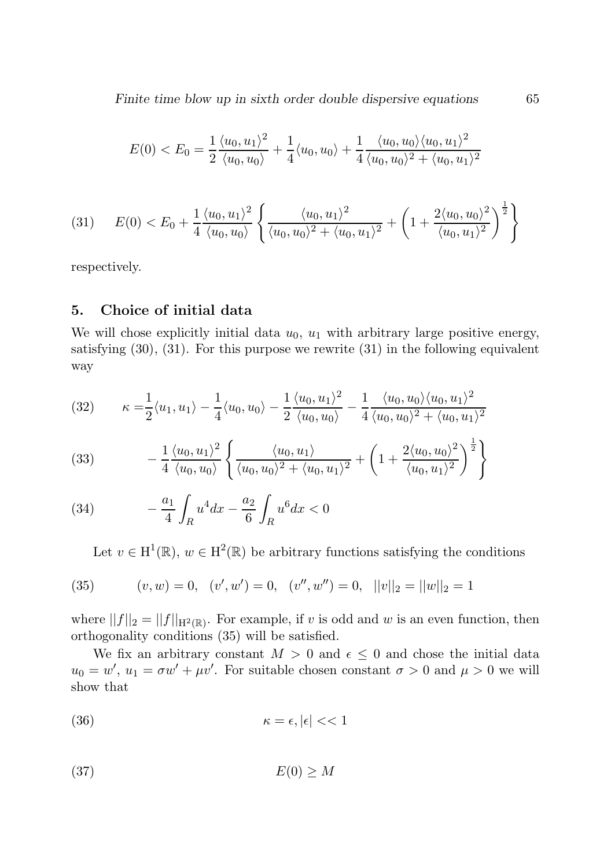Finite time blow up in sixth order double dispersive equations 65

$$
E(0) < E_0 = \frac{1}{2} \frac{\langle u_0, u_1 \rangle^2}{\langle u_0, u_0 \rangle} + \frac{1}{4} \langle u_0, u_0 \rangle + \frac{1}{4} \frac{\langle u_0, u_0 \rangle \langle u_0, u_1 \rangle^2}{\langle u_0, u_0 \rangle^2 + \langle u_0, u_1 \rangle^2}
$$

$$
(31) \tE(0) < E_0 + \frac{1}{4} \frac{\langle u_0, u_1 \rangle^2}{\langle u_0, u_0 \rangle} \left\{ \frac{\langle u_0, u_1 \rangle^2}{\langle u_0, u_0 \rangle^2 + \langle u_0, u_1 \rangle^2} + \left( 1 + \frac{2 \langle u_0, u_0 \rangle^2}{\langle u_0, u_1 \rangle^2} \right)^{\frac{1}{2}} \right\}
$$

respectively.

## 5. Choice of initial data

We will chose explicitly initial data  $u_0$ ,  $u_1$  with arbitrary large positive energy, satisfying  $(30)$ ,  $(31)$ . For this purpose we rewrite  $(31)$  in the following equivalent way

$$
(32) \qquad \kappa = \frac{1}{2} \langle u_1, u_1 \rangle - \frac{1}{4} \langle u_0, u_0 \rangle - \frac{1}{2} \frac{\langle u_0, u_1 \rangle^2}{\langle u_0, u_0 \rangle} - \frac{1}{4} \frac{\langle u_0, u_0 \rangle \langle u_0, u_1 \rangle^2}{\langle u_0, u_0 \rangle^2 + \langle u_0, u_1 \rangle^2}
$$

(33) 
$$
- \frac{1}{4} \frac{\langle u_0, u_1 \rangle^2}{\langle u_0, u_0 \rangle} \left\{ \frac{\langle u_0, u_1 \rangle}{\langle u_0, u_0 \rangle^2 + \langle u_0, u_1 \rangle^2} + \left( 1 + \frac{2 \langle u_0, u_0 \rangle^2}{\langle u_0, u_1 \rangle^2} \right)^{\frac{1}{2}} \right\}
$$

(34) 
$$
-\frac{a_1}{4} \int_R u^4 dx - \frac{a_2}{6} \int_R u^6 dx < 0
$$

Let  $v \in H^1(\mathbb{R})$ ,  $w \in H^2(\mathbb{R})$  be arbitrary functions satisfying the conditions

(35) 
$$
(v, w) = 0, (v', w') = 0, (v'', w'') = 0, ||v||_2 = ||w||_2 = 1
$$

where  $||f||_2 = ||f||_{H^2(\mathbb{R})}$ . For example, if v is odd and w is an even function, then orthogonality conditions (35) will be satisfied.

We fix an arbitrary constant  $M > 0$  and  $\epsilon \leq 0$  and chose the initial data  $u_0 = w'$ ,  $u_1 = \sigma w' + \mu v'$ . For suitable chosen constant  $\sigma > 0$  and  $\mu > 0$  we will show that

(36) 
$$
\kappa = \epsilon, |\epsilon| << 1
$$

$$
(37) \t\t\t E(0) \ge M
$$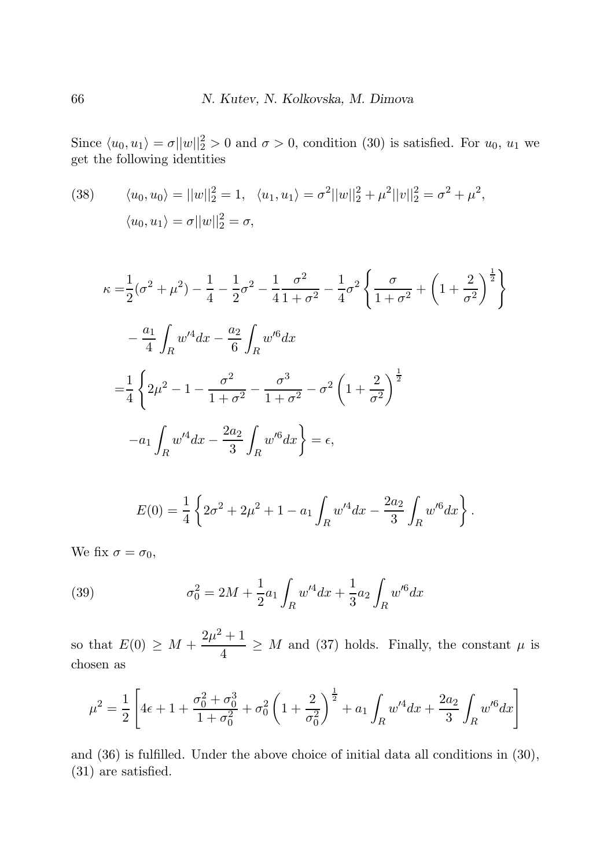Since  $\langle u_0, u_1 \rangle = \sigma ||w||_2^2 > 0$  and  $\sigma > 0$ , condition (30) is satisfied. For  $u_0, u_1$  we get the following identities

(38) 
$$
\langle u_0, u_0 \rangle = ||w||_2^2 = 1, \quad \langle u_1, u_1 \rangle = \sigma^2 ||w||_2^2 + \mu^2 ||v||_2^2 = \sigma^2 + \mu^2,
$$

$$
\langle u_0, u_1 \rangle = \sigma ||w||_2^2 = \sigma,
$$

$$
\kappa = \frac{1}{2}(\sigma^2 + \mu^2) - \frac{1}{4} - \frac{1}{2}\sigma^2 - \frac{1}{4}\frac{\sigma^2}{1 + \sigma^2} - \frac{1}{4}\sigma^2 \left\{ \frac{\sigma}{1 + \sigma^2} + \left( 1 + \frac{2}{\sigma^2} \right)^{\frac{1}{2}} \right\}
$$
  

$$
- \frac{a_1}{4} \int_R w'^4 dx - \frac{a_2}{6} \int_R w'^6 dx
$$
  

$$
= \frac{1}{4} \left\{ 2\mu^2 - 1 - \frac{\sigma^2}{1 + \sigma^2} - \frac{\sigma^3}{1 + \sigma^2} - \sigma^2 \left( 1 + \frac{2}{\sigma^2} \right)^{\frac{1}{2}} -a_1 \int_R w'^4 dx - \frac{2a_2}{3} \int_R w'^6 dx \right\} = \epsilon,
$$

$$
E(0) = \frac{1}{4} \left\{ 2\sigma^2 + 2\mu^2 + 1 - a_1 \int_R w'^4 dx - \frac{2a_2}{3} \int_R w'^6 dx \right\}.
$$

We fix  $\sigma = \sigma_0$ ,

(39) 
$$
\sigma_0^2 = 2M + \frac{1}{2}a_1 \int_R w'^4 dx + \frac{1}{3}a_2 \int_R w'^6 dx
$$

so that  $E(0) \geq M + \frac{2\mu^2 + 1}{4}$  $\frac{1}{4}$   $\geq$  *M* and (37) holds. Finally, the constant  $\mu$  is chosen as

$$
\mu^2 = \frac{1}{2} \left[ 4\epsilon + 1 + \frac{\sigma_0^2 + \sigma_0^3}{1 + \sigma_0^2} + \sigma_0^2 \left( 1 + \frac{2}{\sigma_0^2} \right)^{\frac{1}{2}} + a_1 \int_R w'^4 dx + \frac{2a_2}{3} \int_R w'^6 dx \right]
$$

and (36) is fulfilled. Under the above choice of initial data all conditions in (30), (31) are satisfied.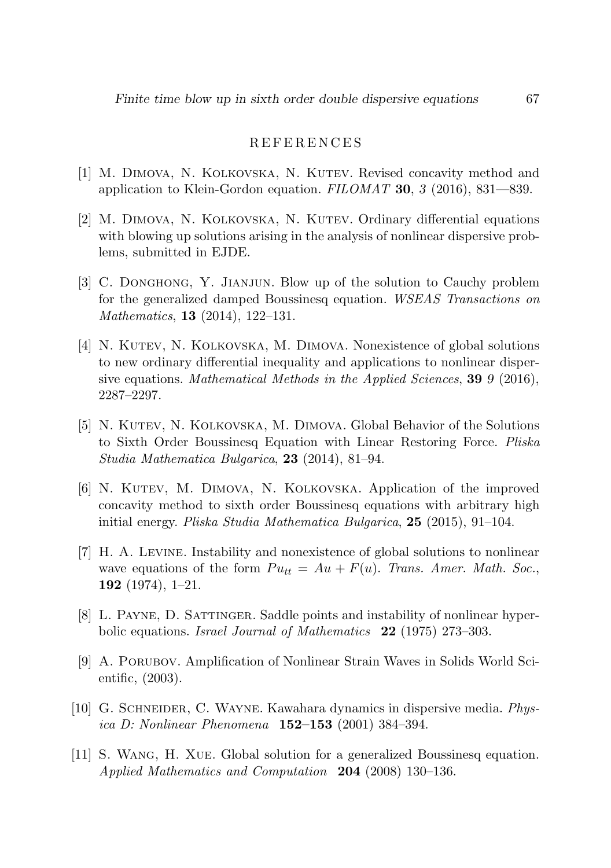#### R E F E R E N C E S

- [1] M. DIMOVA, N. KOLKOVSKA, N. KUTEV. Revised concavity method and application to Klein-Gordon equation. *FILOMAT* 30, 3 (2016), 831—839.
- [2] M. Dimova, N. Kolkovska, N. Kutev. Ordinary differential equations with blowing up solutions arising in the analysis of nonlinear dispersive problems, submitted in EJDE.
- [3] C. Donghong, Y. Jianjun. Blow up of the solution to Cauchy problem for the generalized damped Boussinesq equation. *WSEAS Transactions on Mathematics*, 13 (2014), 122–131.
- [4] N. Kutev, N. Kolkovska, M. Dimova. Nonexistence of global solutions to new ordinary differential inequality and applications to nonlinear dispersive equations. *Mathematical Methods in the Applied Sciences*, 39 9 (2016), 2287–2297.
- [5] N. Kutev, N. Kolkovska, M. Dimova. Global Behavior of the Solutions to Sixth Order Boussinesq Equation with Linear Restoring Force. *Pliska Studia Mathematica Bulgarica*, 23 (2014), 81–94.
- [6] N. Kutev, M. Dimova, N. Kolkovska. Application of the improved concavity method to sixth order Boussinesq equations with arbitrary high initial energy. *Pliska Studia Mathematica Bulgarica*, 25 (2015), 91–104.
- [7] H. A. Levine. Instability and nonexistence of global solutions to nonlinear wave equations of the form  $Pu_{tt} = Au + F(u)$ . *Trans. Amer. Math. Soc.*, 192 (1974), 1–21.
- [8] L. Payne, D. Sattinger. Saddle points and instability of nonlinear hyperbolic equations. *Israel Journal of Mathematics* 22 (1975) 273–303.
- [9] A. Porubov. Amplification of Nonlinear Strain Waves in Solids World Scientific, (2003).
- [10] G. Schneider, C. Wayne. Kawahara dynamics in dispersive media. *Physica D: Nonlinear Phenomena* 152–153 (2001) 384–394.
- [11] S. Wang, H. Xue. Global solution for a generalized Boussinesq equation. *Applied Mathematics and Computation* 204 (2008) 130–136.